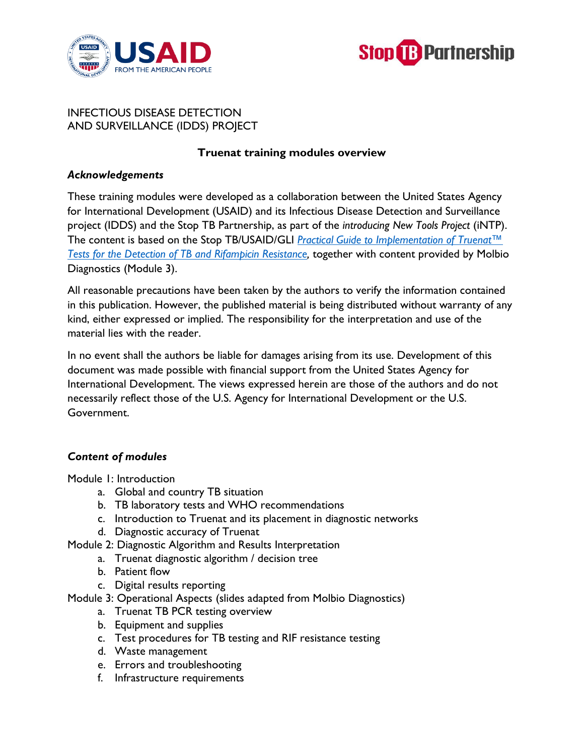



# INFECTIOUS DISEASE DETECTION AND SURVEILLANCE (IDDS) PROJECT

### **Truenat training modules overview**

#### *Acknowledgements*

These training modules were developed as a collaboration between the United States Agency for International Development (USAID) and its Infectious Disease Detection and Surveillance project (IDDS) and the Stop TB Partnership, as part of the *introducing New Tools Project* (iNTP). The content is based on the Stop TB/USAID/GLI *[Practical Guide to Implementation of Truenat™](https://www.stoptb.org/sites/default/files/Truenat_Implementation_Guide.pdf)  [Tests for the Detection of TB and Rifampicin Resistance,](https://www.stoptb.org/sites/default/files/Truenat_Implementation_Guide.pdf)* together with content provided by Molbio Diagnostics (Module 3).

All reasonable precautions have been taken by the authors to verify the information contained in this publication. However, the published material is being distributed without warranty of any kind, either expressed or implied. The responsibility for the interpretation and use of the material lies with the reader.

In no event shall the authors be liable for damages arising from its use. Development of this document was made possible with financial support from the United States Agency for International Development. The views expressed herein are those of the authors and do not necessarily reflect those of the U.S. Agency for International Development or the U.S. Government.

### *Content of modules*

Module 1: Introduction

- a. Global and country TB situation
- b. TB laboratory tests and WHO recommendations
- c. Introduction to Truenat and its placement in diagnostic networks
- d. Diagnostic accuracy of Truenat
- Module 2: Diagnostic Algorithm and Results Interpretation
	- a. Truenat diagnostic algorithm / decision tree
	- b. Patient flow
	- c. Digital results reporting
- Module 3: Operational Aspects (slides adapted from Molbio Diagnostics)
	- a. Truenat TB PCR testing overview
	- b. Equipment and supplies
	- c. Test procedures for TB testing and RIF resistance testing
	- d. Waste management
	- e. Errors and troubleshooting
	- f. Infrastructure requirements